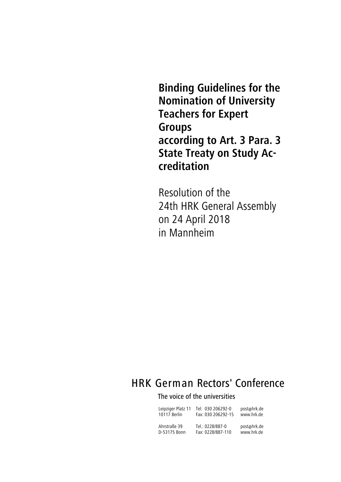**Binding Guidelines for the Nomination of University Teachers for Expert Groups according to Art. 3 Para. 3 State Treaty on Study Accreditation**

Resolution of the 24th HRK General Assembly on 24 April 2018 in Mannheim

# HRK German Rectors' Conference

## The voice of the universities

| Leipziger Platz 11 | Tel: 030 206292-0  | post@hrk.de |
|--------------------|--------------------|-------------|
| 10117 Berlin       | Fax: 030 206292-15 | www.hrk.de  |
| Ahrstraße 39       | Tel.: 0228/887-0   | post@hrk.de |
| D-53175 Bonn       | Fax: 0228/887-110  | www.hrk.de  |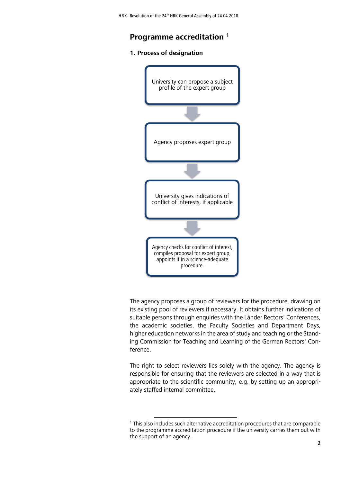## **Programme accreditation <sup>1</sup>**

#### **1. Process of designation**



The agency proposes a group of reviewers for the procedure, drawing on its existing pool of reviewers if necessary. It obtains further indications of suitable persons through enquiries with the Länder Rectors' Conferences, the academic societies, the Faculty Societies and Department Days, higher education networks in the area of study and teaching or the Standing Commission for Teaching and Learning of the German Rectors' Conference.

The right to select reviewers lies solely with the agency. The agency is responsible for ensuring that the reviewers are selected in a way that is appropriate to the scientific community, e.g. by setting up an appropriately staffed internal committee.

<sup>1</sup> This also includes such alternative accreditation procedures that are comparable to the programme accreditation procedure if the university carries them out with the support of an agency.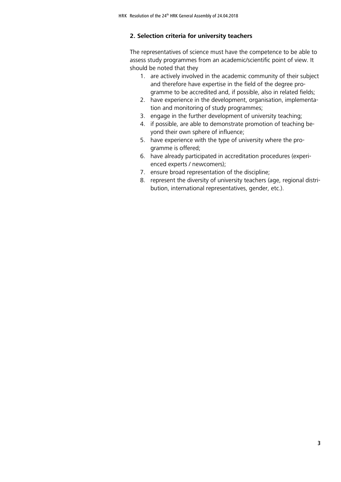#### **2. Selection criteria for university teachers**

The representatives of science must have the competence to be able to assess study programmes from an academic/scientific point of view. It should be noted that they

- 1. are actively involved in the academic community of their subject and therefore have expertise in the field of the degree programme to be accredited and, if possible, also in related fields;
- 2. have experience in the development, organisation, implementation and monitoring of study programmes;
- 3. engage in the further development of university teaching;
- 4. if possible, are able to demonstrate promotion of teaching beyond their own sphere of influence;
- 5. have experience with the type of university where the programme is offered;
- 6. have already participated in accreditation procedures (experienced experts / newcomers);
- 7. ensure broad representation of the discipline;
- 8. represent the diversity of university teachers (age, regional distribution, international representatives, gender, etc.).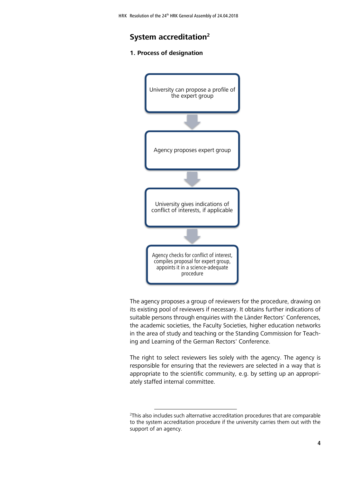### **System accreditation<sup>2</sup>**

#### **1. Process of designation**



The agency proposes a group of reviewers for the procedure, drawing on its existing pool of reviewers if necessary. It obtains further indications of suitable persons through enquiries with the Länder Rectors' Conferences, the academic societies, the Faculty Societies, higher education networks in the area of study and teaching or the Standing Commission for Teaching and Learning of the German Rectors' Conference.

The right to select reviewers lies solely with the agency. The agency is responsible for ensuring that the reviewers are selected in a way that is appropriate to the scientific community, e.g. by setting up an appropriately staffed internal committee.

 $2$ This also includes such alternative accreditation procedures that are comparable to the system accreditation procedure if the university carries them out with the support of an agency.